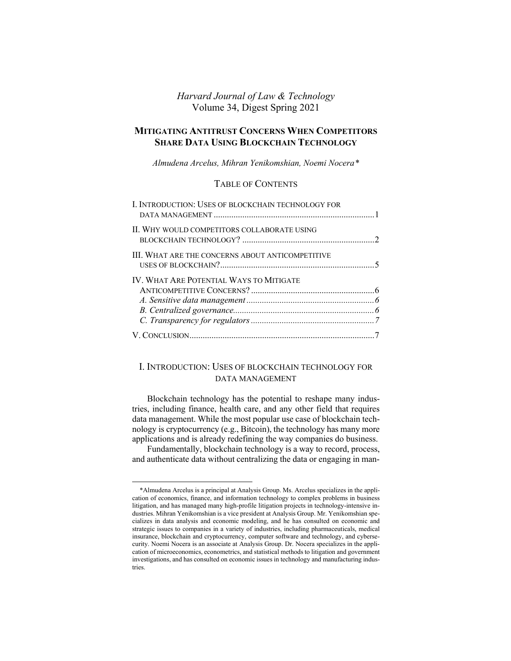# *Harvard Journal of Law & Technology* Volume 34, Digest Spring 2021

# **MITIGATING ANTITRUST CONCERNS WHEN COMPETITORS SHARE DATA USING BLOCKCHAIN TECHNOLOGY**

*Almudena Arcelus, Mihran Yenikomshian, Noemi Nocera[\\*](#page-0-1)*

# TABLE OF CONTENTS

| <b>I. INTRODUCTION: USES OF BLOCKCHAIN TECHNOLOGY FOR</b> |  |
|-----------------------------------------------------------|--|
| II. WHY WOULD COMPETITORS COLLABORATE USING               |  |
| III. WHAT ARE THE CONCERNS ABOUT ANTICOMPETITIVE          |  |
| <b>IV. WHAT ARE POTENTIAL WAYS TO MITIGATE</b>            |  |
|                                                           |  |

# <span id="page-0-0"></span>I. INTRODUCTION: USES OF BLOCKCHAIN TECHNOLOGY FOR DATA MANAGEMENT

Blockchain technology has the potential to reshape many industries, including finance, health care, and any other field that requires data management. While the most popular use case of blockchain technology is cryptocurrency (e.g., Bitcoin), the technology has many more applications and is already redefining the way companies do business.

Fundamentally, blockchain technology is a way to record, process, and authenticate data without centralizing the data or engaging in man-

<span id="page-0-1"></span><sup>\*</sup>Almudena Arcelus is a principal at Analysis Group. Ms. Arcelus specializes in the application of economics, finance, and information technology to complex problems in business litigation, and has managed many high-profile litigation projects in technology-intensive industries. Mihran Yenikomshian is a vice president at Analysis Group. Mr. Yenikomshian specializes in data analysis and economic modeling, and he has consulted on economic and strategic issues to companies in a variety of industries, including pharmaceuticals, medical insurance, blockchain and cryptocurrency, computer software and technology, and cybersecurity. Noemi Nocera is an associate at Analysis Group. Dr. Nocera specializes in the application of microeconomics, econometrics, and statistical methods to litigation and government investigations, and has consulted on economic issues in technology and manufacturing industries.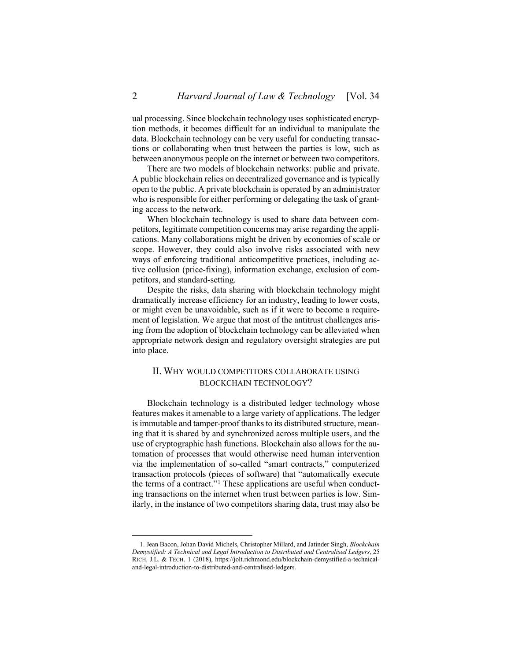ual processing. Since blockchain technology uses sophisticated encryption methods, it becomes difficult for an individual to manipulate the data. Blockchain technology can be very useful for conducting transactions or collaborating when trust between the parties is low, such as between anonymous people on the internet or between two competitors.

There are two models of blockchain networks: public and private. A public blockchain relies on decentralized governance and is typically open to the public. A private blockchain is operated by an administrator who is responsible for either performing or delegating the task of granting access to the network.

When blockchain technology is used to share data between competitors, legitimate competition concerns may arise regarding the applications. Many collaborations might be driven by economies of scale or scope. However, they could also involve risks associated with new ways of enforcing traditional anticompetitive practices, including active collusion (price-fixing), information exchange, exclusion of competitors, and standard-setting.

Despite the risks, data sharing with blockchain technology might dramatically increase efficiency for an industry, leading to lower costs, or might even be unavoidable, such as if it were to become a requirement of legislation. We argue that most of the antitrust challenges arising from the adoption of blockchain technology can be alleviated when appropriate network design and regulatory oversight strategies are put into place.

# <span id="page-1-0"></span>II. WHY WOULD COMPETITORS COLLABORATE USING BLOCKCHAIN TECHNOLOGY?

Blockchain technology is a distributed ledger technology whose features makes it amenable to a large variety of applications. The ledger is immutable and tamper-proof thanks to its distributed structure, meaning that it is shared by and synchronized across multiple users, and the use of cryptographic hash functions. Blockchain also allows for the automation of processes that would otherwise need human intervention via the implementation of so-called "smart contracts," computerized transaction protocols (pieces of software) that "automatically execute the terms of a contract."[1](#page-1-1) These applications are useful when conducting transactions on the internet when trust between parties is low. Similarly, in the instance of two competitors sharing data, trust may also be

<span id="page-1-1"></span><sup>1.</sup> Jean Bacon, Johan David Michels, Christopher Millard, and Jatinder Singh, *Blockchain Demystified: A Technical and Legal Introduction to Distributed and Centralised Ledgers*, 25 RICH. J.L. & TECH. 1 (2018), https://jolt.richmond.edu/blockchain-demystified-a-technicaland-legal-introduction-to-distributed-and-centralised-ledgers.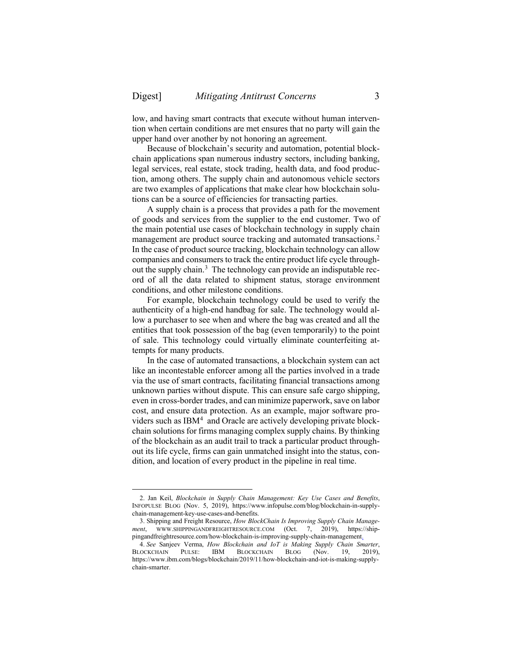low, and having smart contracts that execute without human intervention when certain conditions are met ensures that no party will gain the upper hand over another by not honoring an agreement.

Because of blockchain's security and automation, potential blockchain applications span numerous industry sectors, including banking, legal services, real estate, stock trading, health data, and food production, among others. The supply chain and autonomous vehicle sectors are two examples of applications that make clear how blockchain solutions can be a source of efficiencies for transacting parties.

A supply chain is a process that provides a path for the movement of goods and services from the supplier to the end customer. Two of the main potential use cases of [blockchain](https://www.ibm.com/blockchain?utm_medium=OSocial&utm_source=Blog&utm_content=000020YK&utm_term=10005803&utm_id=How+blockchain+and+IoT+is+making+supply+chain+smarter+In+Text&cm_mmc=OSocial_Blog-_-Blockchain+and+Strategic+Alliances_Blockchain-_-WW_WW-_-How+blockchain+and+IoT+is+making+supply+chain+smarter+In+Text&cm_mmca1=000020YK&cm_mmca2=10005803) technology in supply chain management are product source tracking and automated transactions.<sup>[2](#page-2-0)</sup> In the case of product source tracking, blockchain technology can allow companies and consumers to track the entire product life cycle through-out the supply chain.<sup>[3](#page-2-1)</sup> The technology can provide an indisputable record of all the data related to shipment status, storage environment conditions, and other milestone conditions.

For example, blockchain technology could be used to verify the authenticity of a high-end handbag for sale. The technology would allow a purchaser to see when and where the bag was created and all the entities that took possession of the bag (even temporarily) to the point of sale. This technology could virtually eliminate counterfeiting attempts for many products.

In the case of automated transactions, a blockchain system can act like an incontestable enforcer among all the parties involved in a trade via the use of smart contracts, facilitating [financial transactions](https://www.ibm.com/blockchain/industries/financial-services?utm_medium=OSocial&utm_source=Blog&utm_content=000020YK&utm_term=10005803&utm_id=How+blockchain+and+IoT+is+making+supply+chain+smarter+In+Text&cm_mmc=OSocial_Blog-_-Blockchain+and+Strategic+Alliances_Blockchain-_-WW_WW-_-How+blockchain+and+IoT+is+making+supply+chain+smarter+In+Text&cm_mmca1=000020YK&cm_mmca2=10005803) among unknown parties without dispute. This can ensure safe cargo shipping, even in cross-border trades, and can minimize paperwork, save on labor cost, and ensure data protection. As an example, major software pro-viders such as IBM<sup>[4](#page-2-2)</sup> and Oracle are actively developing private blockchain solutions for firms managing complex supply chains. By thinking of the blockchain as an audit trail to track a particular product throughout its life cycle, firms can gain unmatched insight into the status, condition, and location of every product in the pipeline in real time.

<span id="page-2-0"></span><sup>2.</sup> Jan Keil, *Blockchain in Supply Chain Management: Key Use Cases and Benefits*, INFOPULSE BLOG (Nov. 5, 2019), https://www.infopulse.com/blog/blockchain-in-supplychain-management-key-use-cases-and-benefits.

<span id="page-2-1"></span><sup>3.</sup> Shipping and Freight Resource, *How BlockChain Is Improving Supply Chain Management*, WWW.SHIPPINGANDFREIGHTRESOURCE.COM (Oct. 7, 2019), https://shippingandfreightresource.com/how-blockchain-is-improving-supply-chain-management.

<span id="page-2-2"></span><sup>4.</sup> *See* Sanjeev Verma, *How Blockchain and IoT is Making Supply Chain Smarter*, BLOCKCHAIN PULSE: IBM BLOCKCHAIN BLOG (Nov. 19, https://www.ibm.com/blogs/blockchain/2019/11/how-blockchain-and-iot-is-making-supplychain-smarter.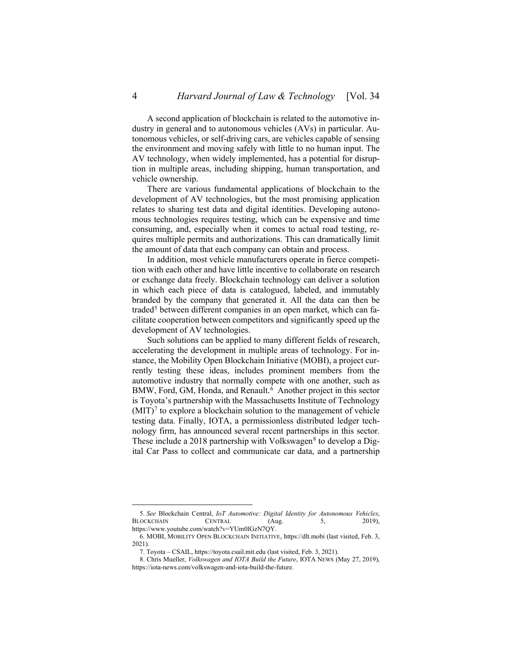A second application of blockchain is related to the automotive industry in general and to autonomous vehicles (AVs) in particular. Autonomous vehicles, or self-driving cars, are vehicles capable of sensing the environment and moving safely with little to no human input. The AV technology, when widely implemented, has a potential for disruption in multiple areas, including shipping, human transportation, and vehicle ownership.

There are various fundamental applications of blockchain to the development of AV technologies, but the most promising application relates to sharing test data and digital identities. Developing autonomous technologies requires testing, which can be expensive and time consuming, and, especially when it comes to actual road testing, requires multiple permits and authorizations. This can dramatically limit the amount of data that each company can obtain and process.

In addition, most vehicle manufacturers operate in fierce competition with each other and have little incentive to collaborate on research or exchange data freely. Blockchain technology can deliver a solution in which each piece of data is catalogued, labeled, and immutably branded by the company that generated it. All the data can then be traded<sup>[5](#page-3-0)</sup> between different companies in an open market, which can facilitate cooperation between competitors and significantly speed up the development of AV technologies.

Such solutions can be applied to many different fields of research, accelerating the development in multiple areas of technology. For instance, the Mobility Open Blockchain Initiative (MOBI), a project currently testing these ideas, includes prominent members from the automotive industry that normally compete with one another, such as BMW, Ford, GM, Honda, and Renault.<sup>[6](#page-3-1)</sup> Another project in this sector is Toyota's partnership with the Massachusetts Institute of Technology  $(MIT)<sup>7</sup>$  $(MIT)<sup>7</sup>$  $(MIT)<sup>7</sup>$  to explore a blockchain solution to the management of vehicle testing data. Finally, IOTA, a permissionless distributed ledger technology firm, has announced several recent partnerships in this sector. These include a 201[8](#page-3-3) partnership with Volkswagen<sup>8</sup> to develop a Digital Car Pass to collect and communicate car data, and a partnership

<span id="page-3-0"></span><sup>5.</sup> *See* Blockchain Central, *IoT Automotive: Digital Identity for Autonomous Vehicles*, BLOCKCHAIN CENTRAL (Aug. 5, 2019), https://www.youtube.com/watch?v=YUm0lGzN7QY.

<span id="page-3-1"></span><sup>6.</sup> MOBI, MOBILITY OPEN BLOCKCHAIN INITIATIVE, https://dlt.mobi (last visited, Feb. 3, 2021).

<sup>7.</sup> Toyota – CSAIL, https://toyota.csail.mit.edu (last visited, Feb. 3, 2021).

<span id="page-3-3"></span><span id="page-3-2"></span><sup>8.</sup> Chris Mueller, *Volkswagen and IOTA Build the Future*, IOTA NEWS (May 27, 2019), https://iota-news.com/volkswagen-and-iota-build-the-future.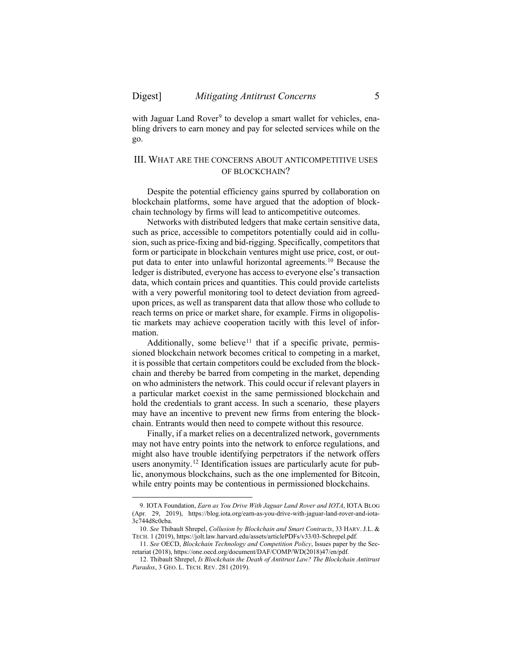with Jaguar Land Rover<sup>[9](#page-4-1)</sup> to develop a smart wallet for vehicles, enabling drivers to earn money and pay for selected services while on the go.

### <span id="page-4-0"></span>III. WHAT ARE THE CONCERNS ABOUT ANTICOMPETITIVE USES OF BLOCKCHAIN?

Despite the potential efficiency gains spurred by collaboration on blockchain platforms, some have argued that the adoption of blockchain technology by firms will lead to anticompetitive outcomes.

Networks with distributed ledgers that make certain sensitive data, such as price, accessible to competitors potentially could aid in collusion, such as price-fixing and bid-rigging. Specifically, competitors that form or participate in blockchain ventures might use price, cost, or output data to enter into unlawful horizontal agreements. [10](#page-4-2) Because the ledger is distributed, everyone has access to everyone else's transaction data, which contain prices and quantities. This could provide cartelists with a very powerful monitoring tool to detect deviation from agreedupon prices, as well as transparent data that allow those who collude to reach terms on price or market share, for example. Firms in oligopolistic markets may achieve cooperation tacitly with this level of information.

Additionally, some believe<sup>[11](#page-4-3)</sup> that if a specific private, permissioned blockchain network becomes critical to competing in a market, it is possible that certain competitors could be excluded from the blockchain and thereby be barred from competing in the market, depending on who administers the network. This could occur if relevant players in a particular market coexist in the same permissioned blockchain and hold the credentials to grant access. In such a scenario, these players may have an incentive to prevent new firms from entering the blockchain. Entrants would then need to compete without this resource.

Finally, if a market relies on a decentralized network, governments may not have entry points into the network to enforce regulations, and might also have trouble identifying perpetrators if the network offers users anonymity. [12](#page-4-4) Identification issues are particularly acute for public, anonymous blockchains, such as the one implemented for Bitcoin, while entry points may be contentious in permissioned blockchains.

<span id="page-4-1"></span><sup>9.</sup> IOTA Foundation, *Earn as You Drive With Jaguar Land Rover and IOTA*, IOTA BLOG (Apr. 29, 2019), https://blog.iota.org/earn-as-you-drive-with-jaguar-land-rover-and-iota-3c744d8c0cba.

<span id="page-4-2"></span><sup>10.</sup> *See* Thibault Shrepel, *Collusion by Blockchain and Smart Contracts*, 33 HARV. J.L. & TECH. 1 (2019), https://jolt.law.harvard.edu/assets/articlePDFs/v33/03-Schrepel.pdf.

<span id="page-4-3"></span><sup>11.</sup> *See* OECD, *Blockchain Technology and Competition Policy*, Issues paper by the Secretariat (2018), https://one.oecd.org/document/DAF/COMP/WD(2018)47/en/pdf.

<span id="page-4-4"></span><sup>12.</sup> Thibault Shrepel, *Is Blockchain the Death of Antitrust Law? The Blockchain Antitrust Paradox*, 3 GEO. L. TECH. REV. 281 (2019).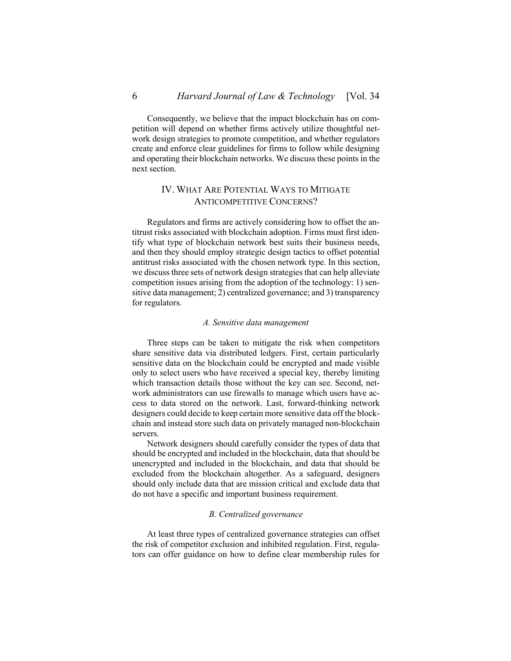Consequently, we believe that the impact blockchain has on competition will depend on whether firms actively utilize thoughtful network design strategies to promote competition, and whether regulators create and enforce clear guidelines for firms to follow while designing and operating their blockchain networks. We discuss these points in the next section.

# <span id="page-5-0"></span>IV. WHAT ARE POTENTIAL WAYS TO MITIGATE ANTICOMPETITIVE CONCERNS?

Regulators and firms are actively considering how to offset the antitrust risks associated with blockchain adoption. Firms must first identify what type of blockchain network best suits their business needs, and then they should employ strategic design tactics to offset potential antitrust risks associated with the chosen network type. In this section, we discuss three sets of network design strategies that can help alleviate competition issues arising from the adoption of the technology: 1) sensitive data management; 2) centralized governance; and 3) transparency for regulators.

#### *A. Sensitive data management*

<span id="page-5-1"></span>Three steps can be taken to mitigate the risk when competitors share sensitive data via distributed ledgers. First, certain particularly sensitive data on the blockchain could be encrypted and made visible only to select users who have received a special key, thereby limiting which transaction details those without the key can see. Second, network administrators can use firewalls to manage which users have access to data stored on the network. Last, forward-thinking network designers could decide to keep certain more sensitive data off the blockchain and instead store such data on privately managed non-blockchain servers.

Network designers should carefully consider the types of data that should be encrypted and included in the blockchain, data that should be unencrypted and included in the blockchain, and data that should be excluded from the blockchain altogether. As a safeguard, designers should only include data that are mission critical and exclude data that do not have a specific and important business requirement.

### *B. Centralized governance*

<span id="page-5-2"></span>At least three types of centralized governance strategies can offset the risk of competitor exclusion and inhibited regulation. First, regulators can offer guidance on how to define clear membership rules for